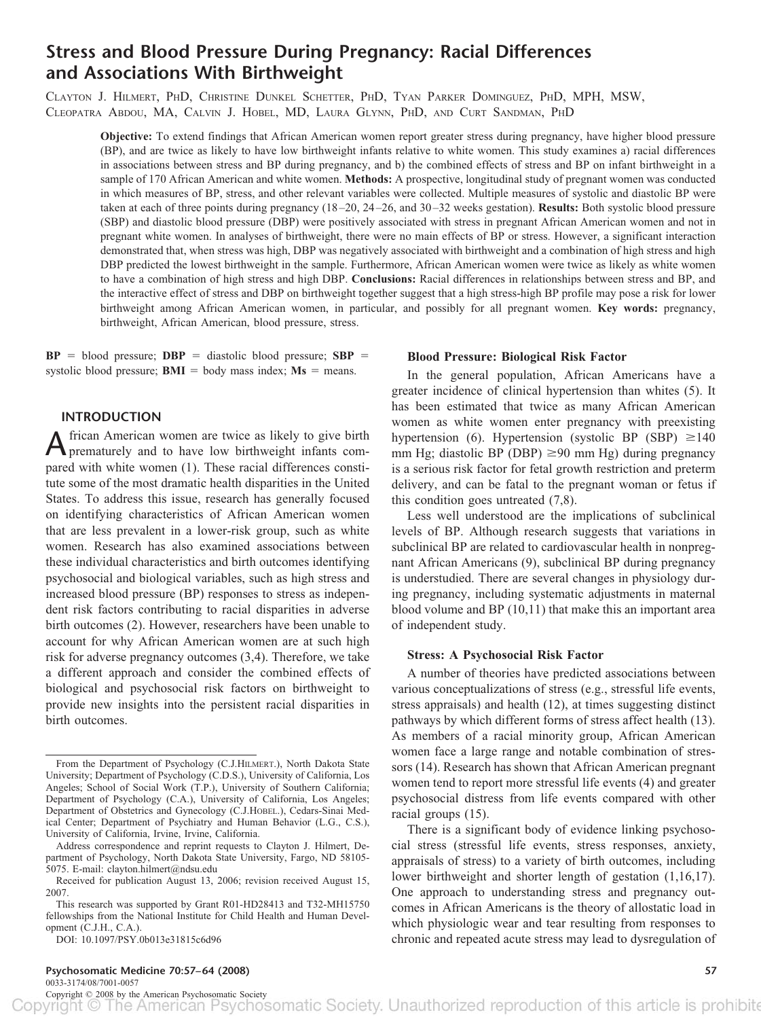# **Stress and Blood Pressure During Pregnancy: Racial Differences and Associations With Birthweight**

CLAYTON J. HILMERT, PHD, CHRISTINE DUNKEL SCHETTER, PHD, TYAN PARKER DOMINGUEZ, PHD, MPH, MSW, CLEOPATRA ABDOU, MA, CALVIN J. HOBEL, MD, LAURA GLYNN, PHD, AND CURT SANDMAN, PHD

**Objective:** To extend findings that African American women report greater stress during pregnancy, have higher blood pressure (BP), and are twice as likely to have low birthweight infants relative to white women. This study examines a) racial differences in associations between stress and BP during pregnancy, and b) the combined effects of stress and BP on infant birthweight in a sample of 170 African American and white women. **Methods:** A prospective, longitudinal study of pregnant women was conducted in which measures of BP, stress, and other relevant variables were collected. Multiple measures of systolic and diastolic BP were taken at each of three points during pregnancy (18 –20, 24 –26, and 30 –32 weeks gestation). **Results:** Both systolic blood pressure (SBP) and diastolic blood pressure (DBP) were positively associated with stress in pregnant African American women and not in pregnant white women. In analyses of birthweight, there were no main effects of BP or stress. However, a significant interaction demonstrated that, when stress was high, DBP was negatively associated with birthweight and a combination of high stress and high DBP predicted the lowest birthweight in the sample. Furthermore, African American women were twice as likely as white women to have a combination of high stress and high DBP. **Conclusions:** Racial differences in relationships between stress and BP, and the interactive effect of stress and DBP on birthweight together suggest that a high stress-high BP profile may pose a risk for lower birthweight among African American women, in particular, and possibly for all pregnant women. **Key words:** pregnancy, birthweight, African American, blood pressure, stress.

 $BP = blood pressure$ ;  $DBP = diastolic blood pressure$ ;  $SBP =$ systolic blood pressure;  $\text{BMI} = \text{body}$  mass index;  $\text{Ms} = \text{means}$ .

# **INTRODUCTION**

A frican American women are twice as likely to give birth<br>prematurely and to have low birthweight infants compared with white women (1). These racial differences constitute some of the most dramatic health disparities in the United States. To address this issue, research has generally focused on identifying characteristics of African American women that are less prevalent in a lower-risk group, such as white women. Research has also examined associations between these individual characteristics and birth outcomes identifying psychosocial and biological variables, such as high stress and increased blood pressure (BP) responses to stress as independent risk factors contributing to racial disparities in adverse birth outcomes (2). However, researchers have been unable to account for why African American women are at such high risk for adverse pregnancy outcomes (3,4). Therefore, we take a different approach and consider the combined effects of biological and psychosocial risk factors on birthweight to provide new insights into the persistent racial disparities in birth outcomes.

DOI: 10.1097/PSY.0b013e31815c6d96

## **Blood Pressure: Biological Risk Factor**

In the general population, African Americans have a greater incidence of clinical hypertension than whites (5). It has been estimated that twice as many African American women as white women enter pregnancy with preexisting hypertension (6). Hypertension (systolic BP (SBP)  $\geq 140$ mm Hg; diastolic BP (DBP)  $\geq 90$  mm Hg) during pregnancy is a serious risk factor for fetal growth restriction and preterm delivery, and can be fatal to the pregnant woman or fetus if this condition goes untreated (7,8).

Less well understood are the implications of subclinical levels of BP. Although research suggests that variations in subclinical BP are related to cardiovascular health in nonpregnant African Americans (9), subclinical BP during pregnancy is understudied. There are several changes in physiology during pregnancy, including systematic adjustments in maternal blood volume and BP (10,11) that make this an important area of independent study.

## **Stress: A Psychosocial Risk Factor**

A number of theories have predicted associations between various conceptualizations of stress (e.g., stressful life events, stress appraisals) and health (12), at times suggesting distinct pathways by which different forms of stress affect health (13). As members of a racial minority group, African American women face a large range and notable combination of stressors (14). Research has shown that African American pregnant women tend to report more stressful life events (4) and greater psychosocial distress from life events compared with other racial groups (15).

There is a significant body of evidence linking psychosocial stress (stressful life events, stress responses, anxiety, appraisals of stress) to a variety of birth outcomes, including lower birthweight and shorter length of gestation (1,16,17). One approach to understanding stress and pregnancy outcomes in African Americans is the theory of allostatic load in which physiologic wear and tear resulting from responses to chronic and repeated acute stress may lead to dysregulation of

Copyright © 2008 by the American Psychosomatic Society. Unauthorized reproduction of this article is prohibite<br>Copyright © The American Psychosomatic Society. Unauthorized reproduction of this article is prohibite

From the Department of Psychology (C.J.HILMERT.), North Dakota State University; Department of Psychology (C.D.S.), University of California, Los Angeles; School of Social Work (T.P.), University of Southern California; Department of Psychology (C.A.), University of California, Los Angeles; Department of Obstetrics and Gynecology (C.J.HOBEL.), Cedars-Sinai Medical Center; Department of Psychiatry and Human Behavior (L.G., C.S.), University of California, Irvine, Irvine, California.

Address correspondence and reprint requests to Clayton J. Hilmert, Department of Psychology, North Dakota State University, Fargo, ND 58105- 5075. E-mail: clayton.hilmert@ndsu.edu

Received for publication August 13, 2006; revision received August 15, 2007.

This research was supported by Grant R01-HD28413 and T32-MH15750 fellowships from the National Institute for Child Health and Human Development (C.J.H., C.A.).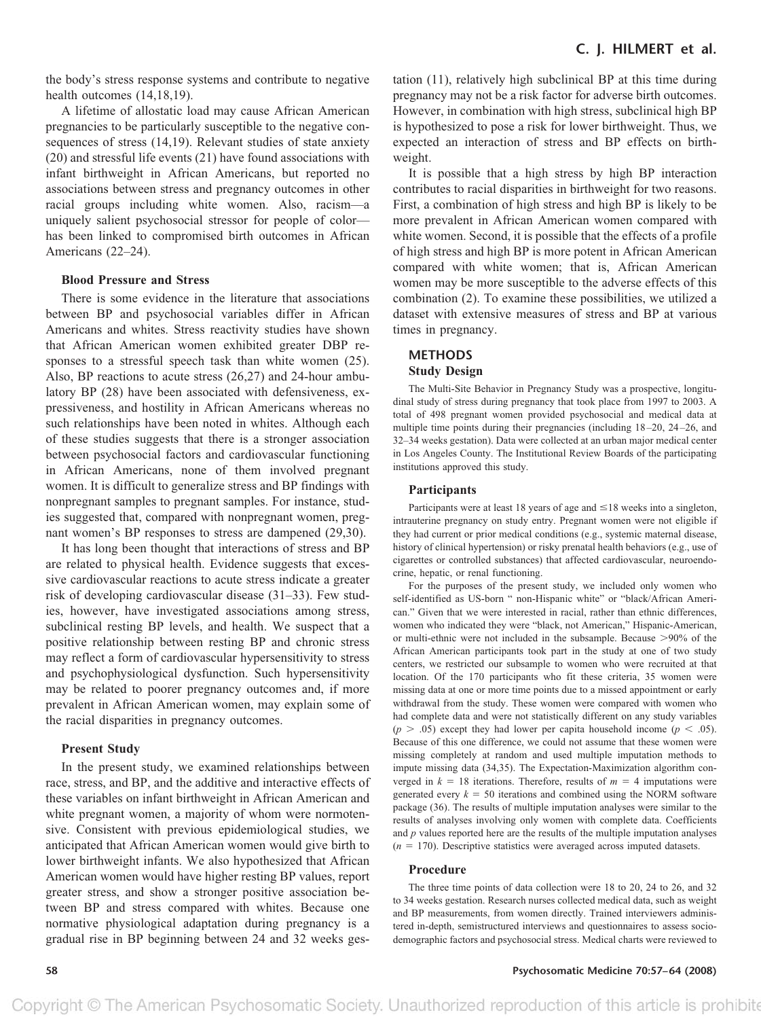the body's stress response systems and contribute to negative health outcomes (14,18,19).

A lifetime of allostatic load may cause African American pregnancies to be particularly susceptible to the negative consequences of stress (14,19). Relevant studies of state anxiety (20) and stressful life events (21) have found associations with infant birthweight in African Americans, but reported no associations between stress and pregnancy outcomes in other racial groups including white women. Also, racism—a uniquely salient psychosocial stressor for people of color has been linked to compromised birth outcomes in African Americans (22–24).

## **Blood Pressure and Stress**

There is some evidence in the literature that associations between BP and psychosocial variables differ in African Americans and whites. Stress reactivity studies have shown that African American women exhibited greater DBP responses to a stressful speech task than white women (25). Also, BP reactions to acute stress (26,27) and 24-hour ambulatory BP (28) have been associated with defensiveness, expressiveness, and hostility in African Americans whereas no such relationships have been noted in whites. Although each of these studies suggests that there is a stronger association between psychosocial factors and cardiovascular functioning in African Americans, none of them involved pregnant women. It is difficult to generalize stress and BP findings with nonpregnant samples to pregnant samples. For instance, studies suggested that, compared with nonpregnant women, pregnant women's BP responses to stress are dampened (29,30).

It has long been thought that interactions of stress and BP are related to physical health. Evidence suggests that excessive cardiovascular reactions to acute stress indicate a greater risk of developing cardiovascular disease (31–33). Few studies, however, have investigated associations among stress, subclinical resting BP levels, and health. We suspect that a positive relationship between resting BP and chronic stress may reflect a form of cardiovascular hypersensitivity to stress and psychophysiological dysfunction. Such hypersensitivity may be related to poorer pregnancy outcomes and, if more prevalent in African American women, may explain some of the racial disparities in pregnancy outcomes.

#### **Present Study**

In the present study, we examined relationships between race, stress, and BP, and the additive and interactive effects of these variables on infant birthweight in African American and white pregnant women, a majority of whom were normotensive. Consistent with previous epidemiological studies, we anticipated that African American women would give birth to lower birthweight infants. We also hypothesized that African American women would have higher resting BP values, report greater stress, and show a stronger positive association between BP and stress compared with whites. Because one normative physiological adaptation during pregnancy is a gradual rise in BP beginning between 24 and 32 weeks gestation (11), relatively high subclinical BP at this time during pregnancy may not be a risk factor for adverse birth outcomes. However, in combination with high stress, subclinical high BP is hypothesized to pose a risk for lower birthweight. Thus, we expected an interaction of stress and BP effects on birthweight.

It is possible that a high stress by high BP interaction contributes to racial disparities in birthweight for two reasons. First, a combination of high stress and high BP is likely to be more prevalent in African American women compared with white women. Second, it is possible that the effects of a profile of high stress and high BP is more potent in African American compared with white women; that is, African American women may be more susceptible to the adverse effects of this combination (2). To examine these possibilities, we utilized a dataset with extensive measures of stress and BP at various times in pregnancy.

## **METHODS**

## **Study Design**

The Multi-Site Behavior in Pregnancy Study was a prospective, longitudinal study of stress during pregnancy that took place from 1997 to 2003. A total of 498 pregnant women provided psychosocial and medical data at multiple time points during their pregnancies (including  $18-20$ ,  $24-26$ , and 32–34 weeks gestation). Data were collected at an urban major medical center in Los Angeles County. The Institutional Review Boards of the participating institutions approved this study.

#### **Participants**

Participants were at least 18 years of age and  $\leq$  18 weeks into a singleton, intrauterine pregnancy on study entry. Pregnant women were not eligible if they had current or prior medical conditions (e.g., systemic maternal disease, history of clinical hypertension) or risky prenatal health behaviors (e.g., use of cigarettes or controlled substances) that affected cardiovascular, neuroendocrine, hepatic, or renal functioning.

For the purposes of the present study, we included only women who self-identified as US-born " non-Hispanic white" or "black/African American." Given that we were interested in racial, rather than ethnic differences, women who indicated they were "black, not American," Hispanic-American, or multi-ethnic were not included in the subsample. Because >90% of the African American participants took part in the study at one of two study centers, we restricted our subsample to women who were recruited at that location. Of the 170 participants who fit these criteria, 35 women were missing data at one or more time points due to a missed appointment or early withdrawal from the study. These women were compared with women who had complete data and were not statistically different on any study variables  $(p > .05)$  except they had lower per capita household income  $(p < .05)$ . Because of this one difference, we could not assume that these women were missing completely at random and used multiple imputation methods to impute missing data (34,35). The Expectation-Maximization algorithm converged in  $k = 18$  iterations. Therefore, results of  $m = 4$  imputations were generated every  $k = 50$  iterations and combined using the NORM software package (36). The results of multiple imputation analyses were similar to the results of analyses involving only women with complete data. Coefficients and *p* values reported here are the results of the multiple imputation analyses  $(n = 170)$ . Descriptive statistics were averaged across imputed datasets.

#### **Procedure**

The three time points of data collection were 18 to 20, 24 to 26, and 32 to 34 weeks gestation. Research nurses collected medical data, such as weight and BP measurements, from women directly. Trained interviewers administered in-depth, semistructured interviews and questionnaires to assess sociodemographic factors and psychosocial stress. Medical charts were reviewed to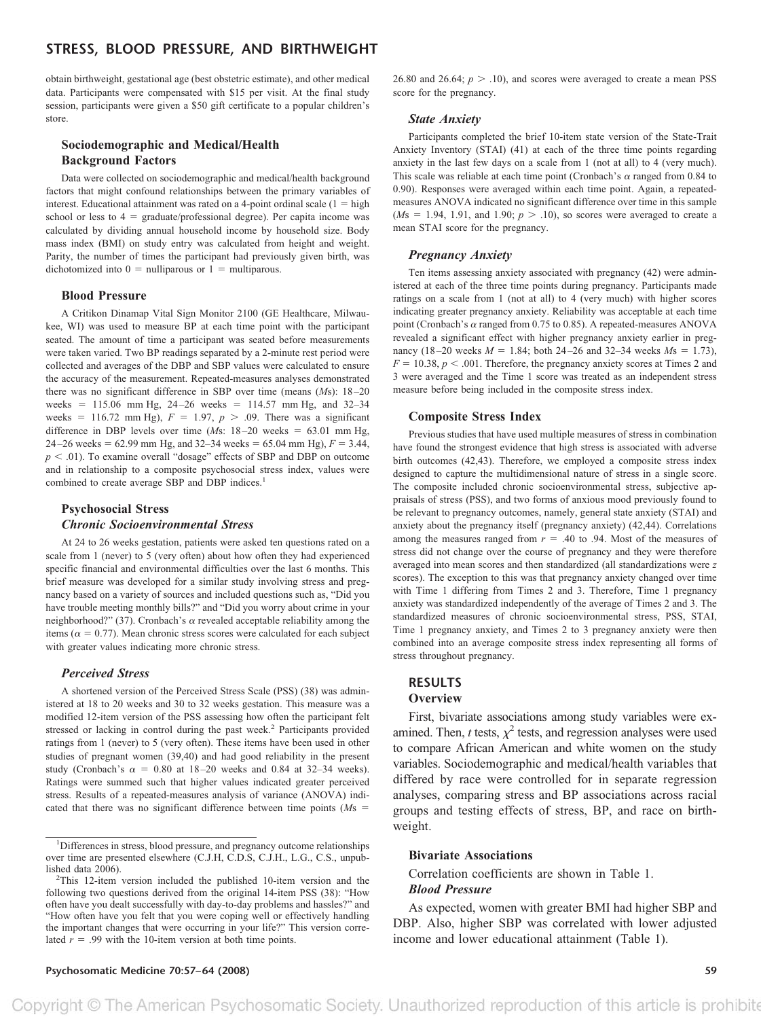obtain birthweight, gestational age (best obstetric estimate), and other medical data. Participants were compensated with \$15 per visit. At the final study session, participants were given a \$50 gift certificate to a popular children's store.

# **Sociodemographic and Medical/Health Background Factors**

Data were collected on sociodemographic and medical/health background factors that might confound relationships between the primary variables of interest. Educational attainment was rated on a 4-point ordinal scale  $(1 - high)$ school or less to  $4 = \text{graduate/professional degree}$ . Per capita income was calculated by dividing annual household income by household size. Body mass index (BMI) on study entry was calculated from height and weight. Parity, the number of times the participant had previously given birth, was dichotomized into  $0 =$  nulliparous or  $1 =$  multiparous.

#### **Blood Pressure**

A Critikon Dinamap Vital Sign Monitor 2100 (GE Healthcare, Milwaukee, WI) was used to measure BP at each time point with the participant seated. The amount of time a participant was seated before measurements were taken varied. Two BP readings separated by a 2-minute rest period were collected and averages of the DBP and SBP values were calculated to ensure the accuracy of the measurement. Repeated-measures analyses demonstrated there was no significant difference in SBP over time (means (*M*s): 18 –20 weeks = 115.06 mm Hg,  $24 - 26$  weeks = 114.57 mm Hg, and 32-34 weeks = 116.72 mm Hg),  $F = 1.97$ ,  $p > .09$ . There was a significant difference in DBP levels over time  $(Ms: 18-20$  weeks = 63.01 mm Hg, 24 – 26 weeks = 62.99 mm Hg, and 32–34 weeks = 65.04 mm Hg),  $F = 3.44$ ,  $p < .01$ ). To examine overall "dosage" effects of SBP and DBP on outcome and in relationship to a composite psychosocial stress index, values were combined to create average SBP and DBP indices.<sup>1</sup>

# **Psychosocial Stress**

#### *Chronic Socioenvironmental Stress*

At 24 to 26 weeks gestation, patients were asked ten questions rated on a scale from 1 (never) to 5 (very often) about how often they had experienced specific financial and environmental difficulties over the last 6 months. This brief measure was developed for a similar study involving stress and pregnancy based on a variety of sources and included questions such as, "Did you have trouble meeting monthly bills?" and "Did you worry about crime in your neighborhood?" (37). Cronbach's  $\alpha$  revealed acceptable reliability among the items ( $\alpha = 0.77$ ). Mean chronic stress scores were calculated for each subject with greater values indicating more chronic stress.

### *Perceived Stress*

A shortened version of the Perceived Stress Scale (PSS) (38) was administered at 18 to 20 weeks and 30 to 32 weeks gestation. This measure was a modified 12-item version of the PSS assessing how often the participant felt stressed or lacking in control during the past week.<sup>2</sup> Participants provided ratings from 1 (never) to 5 (very often). These items have been used in other studies of pregnant women (39,40) and had good reliability in the present study (Cronbach's  $\alpha = 0.80$  at 18-20 weeks and 0.84 at 32-34 weeks). Ratings were summed such that higher values indicated greater perceived stress. Results of a repeated-measures analysis of variance (ANOVA) indicated that there was no significant difference between time points (*M*s

26.80 and 26.64;  $p > .10$ ), and scores were averaged to create a mean PSS score for the pregnancy.

## *State Anxiety*

Participants completed the brief 10-item state version of the State-Trait Anxiety Inventory (STAI) (41) at each of the three time points regarding anxiety in the last few days on a scale from 1 (not at all) to 4 (very much). This scale was reliable at each time point (Cronbach's  $\alpha$  ranged from 0.84 to 0.90). Responses were averaged within each time point. Again, a repeatedmeasures ANOVA indicated no significant difference over time in this sample  $(Ms = 1.94, 1.91,$  and 1.90;  $p > .10$ ), so scores were averaged to create a mean STAI score for the pregnancy.

### *Pregnancy Anxiety*

Ten items assessing anxiety associated with pregnancy (42) were administered at each of the three time points during pregnancy. Participants made ratings on a scale from 1 (not at all) to 4 (very much) with higher scores indicating greater pregnancy anxiety. Reliability was acceptable at each time point (Cronbach's  $\alpha$  ranged from 0.75 to 0.85). A repeated-measures ANOVA revealed a significant effect with higher pregnancy anxiety earlier in pregnancy (18–20 weeks  $M = 1.84$ ; both 24–26 and 32–34 weeks  $Ms = 1.73$ ),  $F = 10.38$ ,  $p < .001$ . Therefore, the pregnancy anxiety scores at Times 2 and 3 were averaged and the Time 1 score was treated as an independent stress measure before being included in the composite stress index.

#### **Composite Stress Index**

Previous studies that have used multiple measures of stress in combination have found the strongest evidence that high stress is associated with adverse birth outcomes (42,43). Therefore, we employed a composite stress index designed to capture the multidimensional nature of stress in a single score. The composite included chronic socioenvironmental stress, subjective appraisals of stress (PSS), and two forms of anxious mood previously found to be relevant to pregnancy outcomes, namely, general state anxiety (STAI) and anxiety about the pregnancy itself (pregnancy anxiety) (42,44). Correlations among the measures ranged from  $r = .40$  to .94. Most of the measures of stress did not change over the course of pregnancy and they were therefore averaged into mean scores and then standardized (all standardizations were *z* scores). The exception to this was that pregnancy anxiety changed over time with Time 1 differing from Times 2 and 3. Therefore, Time 1 pregnancy anxiety was standardized independently of the average of Times 2 and 3. The standardized measures of chronic socioenvironmental stress, PSS, STAI, Time 1 pregnancy anxiety, and Times 2 to 3 pregnancy anxiety were then combined into an average composite stress index representing all forms of stress throughout pregnancy.

## **RESULTS**

## **Overview**

First, bivariate associations among study variables were examined. Then, *t* tests,  $\chi^2$  tests, and regression analyses were used to compare African American and white women on the study variables. Sociodemographic and medical/health variables that differed by race were controlled for in separate regression analyses, comparing stress and BP associations across racial groups and testing effects of stress, BP, and race on birthweight.

### **Bivariate Associations**

Correlation coefficients are shown in Table 1. *Blood Pressure*

As expected, women with greater BMI had higher SBP and DBP. Also, higher SBP was correlated with lower adjusted income and lower educational attainment (Table 1).

<sup>&</sup>lt;sup>1</sup>Differences in stress, blood pressure, and pregnancy outcome relationships over time are presented elsewhere (C.J.H, C.D.S, C.J.H., L.G., C.S., unpublished data 2006).

<sup>&</sup>lt;sup>2</sup>This 12-item version included the published 10-item version and the following two questions derived from the original 14-item PSS (38): "How often have you dealt successfully with day-to-day problems and hassles?" and "How often have you felt that you were coping well or effectively handling the important changes that were occurring in your life?" This version correlated  $r = .99$  with the 10-item version at both time points.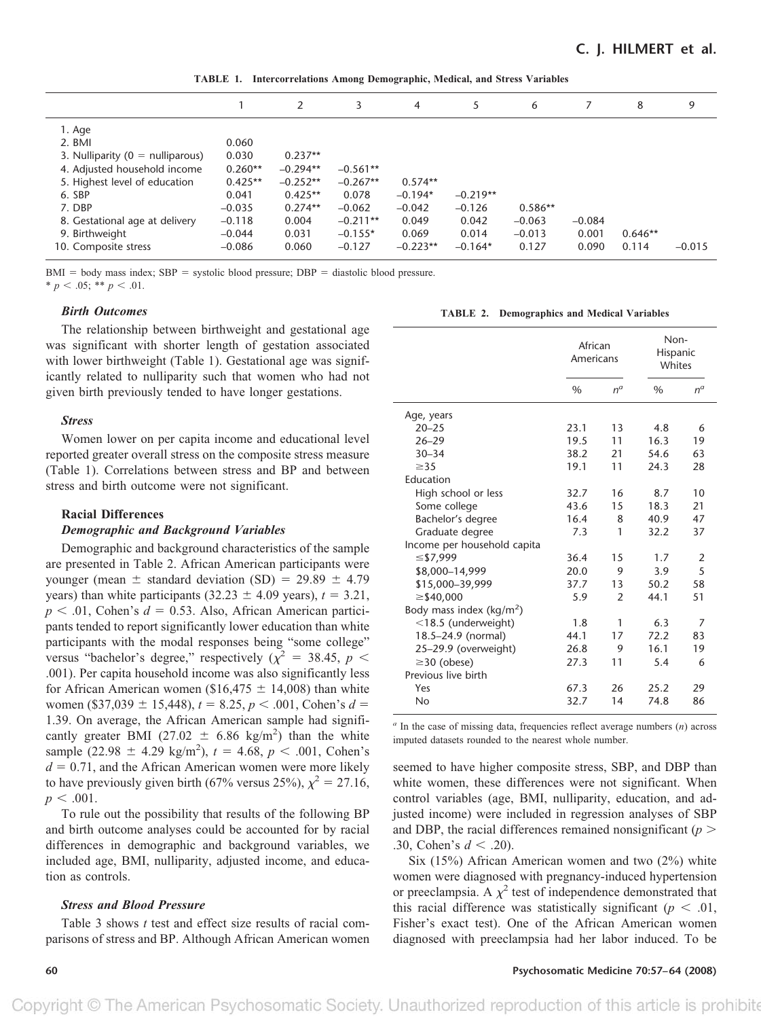**TABLE 1. Intercorrelations Among Demographic, Medical, and Stress Variables**

|                                                                                                                                                                                                    |                                                                                       | 2                                                                                 | 3                                                                        | 4                                                    | 5                                        | 6                                 |                   | 8         | 9        |
|----------------------------------------------------------------------------------------------------------------------------------------------------------------------------------------------------|---------------------------------------------------------------------------------------|-----------------------------------------------------------------------------------|--------------------------------------------------------------------------|------------------------------------------------------|------------------------------------------|-----------------------------------|-------------------|-----------|----------|
| 1. Age<br>$2.$ BMI<br>3. Nulliparity ( $0 =$ nulliparous)<br>4. Adjusted household income<br>5. Highest level of education<br>6. SBP<br>7. DBP<br>8. Gestational age at delivery<br>9. Birthweight | 0.060<br>0.030<br>$0.260**$<br>$0.425**$<br>0.041<br>$-0.035$<br>$-0.118$<br>$-0.044$ | $0.237**$<br>$-0.294**$<br>$-0.252**$<br>$0.425**$<br>$0.274**$<br>0.004<br>0.031 | $-0.561**$<br>$-0.267**$<br>0.078<br>$-0.062$<br>$-0.211**$<br>$-0.155*$ | $0.574**$<br>$-0.194*$<br>$-0.042$<br>0.049<br>0.069 | $-0.219**$<br>$-0.126$<br>0.042<br>0.014 | $0.586**$<br>$-0.063$<br>$-0.013$ | $-0.084$<br>0.001 | $0.646**$ |          |
| 10. Composite stress                                                                                                                                                                               | $-0.086$                                                                              | 0.060                                                                             | $-0.127$                                                                 | $-0.223**$                                           | $-0.164*$                                | 0.127                             | 0.090             | 0.114     | $-0.015$ |

 $BMI = body mass index; SBP = systolic blood pressure; DBP = diastolic blood pressure.$  $* p < .05; ** p < .01.$ 

*Birth Outcomes*

The relationship between birthweight and gestational age was significant with shorter length of gestation associated with lower birthweight (Table 1). Gestational age was significantly related to nulliparity such that women who had not given birth previously tended to have longer gestations.

#### *Stress*

Women lower on per capita income and educational level reported greater overall stress on the composite stress measure (Table 1). Correlations between stress and BP and between stress and birth outcome were not significant.

#### **Racial Differences**

## *Demographic and Background Variables*

Demographic and background characteristics of the sample are presented in Table 2. African American participants were younger (mean  $\pm$  standard deviation (SD) = 29.89  $\pm$  4.79 years) than white participants (32.23  $\pm$  4.09 years),  $t = 3.21$ ,  $p < .01$ , Cohen's  $d = 0.53$ . Also, African American participants tended to report significantly lower education than white participants with the modal responses being "some college" versus "bachelor's degree," respectively ( $\chi^2$  = 38.45, *p* < .001). Per capita household income was also significantly less for African American women (\$16,475  $\pm$  14,008) than white women (\$37,039  $\pm$  15,448),  $t = 8.25$ ,  $p < .001$ , Cohen's  $d =$ 1.39. On average, the African American sample had significantly greater BMI (27.02  $\pm$  6.86 kg/m<sup>2</sup>) than the white sample  $(22.98 \pm 4.29 \text{ kg/m}^2)$ ,  $t = 4.68$ ,  $p < .001$ , Cohen's  $d = 0.71$ , and the African American women were more likely to have previously given birth (67% versus 25%),  $\chi^2 = 27.16$ ,  $p < .001$ .

To rule out the possibility that results of the following BP and birth outcome analyses could be accounted for by racial differences in demographic and background variables, we included age, BMI, nulliparity, adjusted income, and education as controls.

## *Stress and Blood Pressure*

Table 3 shows *t* test and effect size results of racial comparisons of stress and BP. Although African American women

**TABLE 2. Demographics and Medical Variables**

| $n^a$<br>$\frac{0}{0}$<br>$\%$<br>$n^a$<br>Age, years<br>23.1<br>$20 - 25$<br>13<br>4.8<br>6<br>$26 - 29$<br>19.5<br>11<br>16.3<br>19<br>$30 - 34$<br>38.2<br>21<br>54.6<br>63<br>19.1<br>11<br>$\geq$ 35<br>24.3<br>28<br>Education<br>High school or less<br>32.7<br>16<br>8.7<br>10<br>Some college<br>43.6<br>15<br>18.3<br>21<br>Bachelor's degree<br>16.4<br>8<br>40.9<br>47<br>Graduate degree<br>7.3<br>1<br>32.2<br>37<br>Income per household capita<br>≤\$7,999<br>36.4<br>15<br>1.7<br>2<br>5<br>\$8,000-14,999<br>20.0<br>9<br>3.9<br>\$15,000-39,999<br>37.7<br>13<br>50.2<br>58<br>$\geq$ \$40,000<br>44.1<br>5.9<br>$\overline{2}$<br>51<br>Body mass index ( $kg/m2$ )<br>$<$ 18.5 (underweight)<br>1<br>1.8<br>6.3<br>7<br>17<br>18.5-24.9 (normal)<br>44.1<br>72.2<br>83<br>25-29.9 (overweight)<br>16.1<br>26.8<br>19<br>9<br>11<br>$\geq$ 30 (obese)<br>27.3<br>5.4<br>6<br>Previous live birth<br>26<br>67.3<br>25.2<br>29<br>Yes<br>No<br>32.7<br>14<br>74.8<br>86 | African<br>Americans |  | Non-<br>Hispanic<br>Whites |  |
|-------------------------------------------------------------------------------------------------------------------------------------------------------------------------------------------------------------------------------------------------------------------------------------------------------------------------------------------------------------------------------------------------------------------------------------------------------------------------------------------------------------------------------------------------------------------------------------------------------------------------------------------------------------------------------------------------------------------------------------------------------------------------------------------------------------------------------------------------------------------------------------------------------------------------------------------------------------------------------------------|----------------------|--|----------------------------|--|
|                                                                                                                                                                                                                                                                                                                                                                                                                                                                                                                                                                                                                                                                                                                                                                                                                                                                                                                                                                                           |                      |  |                            |  |
|                                                                                                                                                                                                                                                                                                                                                                                                                                                                                                                                                                                                                                                                                                                                                                                                                                                                                                                                                                                           |                      |  |                            |  |
|                                                                                                                                                                                                                                                                                                                                                                                                                                                                                                                                                                                                                                                                                                                                                                                                                                                                                                                                                                                           |                      |  |                            |  |
|                                                                                                                                                                                                                                                                                                                                                                                                                                                                                                                                                                                                                                                                                                                                                                                                                                                                                                                                                                                           |                      |  |                            |  |
|                                                                                                                                                                                                                                                                                                                                                                                                                                                                                                                                                                                                                                                                                                                                                                                                                                                                                                                                                                                           |                      |  |                            |  |
|                                                                                                                                                                                                                                                                                                                                                                                                                                                                                                                                                                                                                                                                                                                                                                                                                                                                                                                                                                                           |                      |  |                            |  |
|                                                                                                                                                                                                                                                                                                                                                                                                                                                                                                                                                                                                                                                                                                                                                                                                                                                                                                                                                                                           |                      |  |                            |  |
|                                                                                                                                                                                                                                                                                                                                                                                                                                                                                                                                                                                                                                                                                                                                                                                                                                                                                                                                                                                           |                      |  |                            |  |
|                                                                                                                                                                                                                                                                                                                                                                                                                                                                                                                                                                                                                                                                                                                                                                                                                                                                                                                                                                                           |                      |  |                            |  |
|                                                                                                                                                                                                                                                                                                                                                                                                                                                                                                                                                                                                                                                                                                                                                                                                                                                                                                                                                                                           |                      |  |                            |  |
|                                                                                                                                                                                                                                                                                                                                                                                                                                                                                                                                                                                                                                                                                                                                                                                                                                                                                                                                                                                           |                      |  |                            |  |
|                                                                                                                                                                                                                                                                                                                                                                                                                                                                                                                                                                                                                                                                                                                                                                                                                                                                                                                                                                                           |                      |  |                            |  |
|                                                                                                                                                                                                                                                                                                                                                                                                                                                                                                                                                                                                                                                                                                                                                                                                                                                                                                                                                                                           |                      |  |                            |  |
|                                                                                                                                                                                                                                                                                                                                                                                                                                                                                                                                                                                                                                                                                                                                                                                                                                                                                                                                                                                           |                      |  |                            |  |
|                                                                                                                                                                                                                                                                                                                                                                                                                                                                                                                                                                                                                                                                                                                                                                                                                                                                                                                                                                                           |                      |  |                            |  |
|                                                                                                                                                                                                                                                                                                                                                                                                                                                                                                                                                                                                                                                                                                                                                                                                                                                                                                                                                                                           |                      |  |                            |  |
|                                                                                                                                                                                                                                                                                                                                                                                                                                                                                                                                                                                                                                                                                                                                                                                                                                                                                                                                                                                           |                      |  |                            |  |
|                                                                                                                                                                                                                                                                                                                                                                                                                                                                                                                                                                                                                                                                                                                                                                                                                                                                                                                                                                                           |                      |  |                            |  |
|                                                                                                                                                                                                                                                                                                                                                                                                                                                                                                                                                                                                                                                                                                                                                                                                                                                                                                                                                                                           |                      |  |                            |  |
|                                                                                                                                                                                                                                                                                                                                                                                                                                                                                                                                                                                                                                                                                                                                                                                                                                                                                                                                                                                           |                      |  |                            |  |
|                                                                                                                                                                                                                                                                                                                                                                                                                                                                                                                                                                                                                                                                                                                                                                                                                                                                                                                                                                                           |                      |  |                            |  |
|                                                                                                                                                                                                                                                                                                                                                                                                                                                                                                                                                                                                                                                                                                                                                                                                                                                                                                                                                                                           |                      |  |                            |  |
|                                                                                                                                                                                                                                                                                                                                                                                                                                                                                                                                                                                                                                                                                                                                                                                                                                                                                                                                                                                           |                      |  |                            |  |
|                                                                                                                                                                                                                                                                                                                                                                                                                                                                                                                                                                                                                                                                                                                                                                                                                                                                                                                                                                                           |                      |  |                            |  |

*<sup>a</sup>* In the case of missing data, frequencies reflect average numbers (*n*) across imputed datasets rounded to the nearest whole number.

seemed to have higher composite stress, SBP, and DBP than white women, these differences were not significant. When control variables (age, BMI, nulliparity, education, and adjusted income) were included in regression analyses of SBP and DBP, the racial differences remained nonsignificant  $(p >$ .30, Cohen's  $d < .20$ ).

Six (15%) African American women and two (2%) white women were diagnosed with pregnancy-induced hypertension or preeclampsia. A  $\chi^2$  test of independence demonstrated that this racial difference was statistically significant  $(p < .01, )$ Fisher's exact test). One of the African American women diagnosed with preeclampsia had her labor induced. To be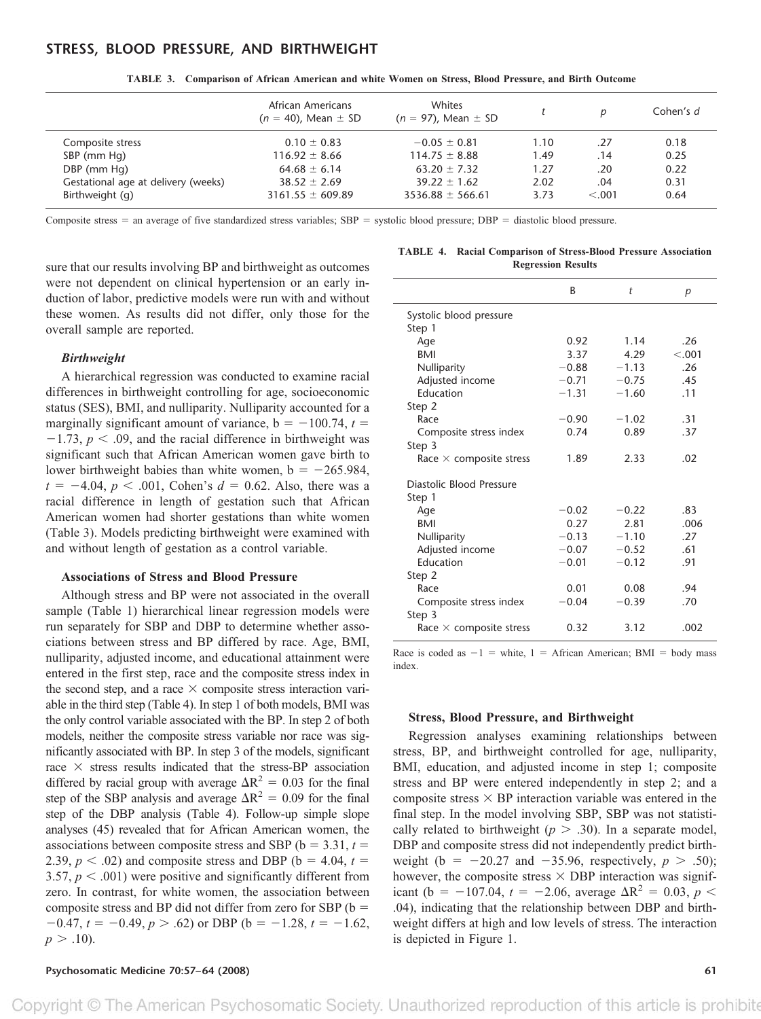# **STRESS, BLOOD PRESSURE, AND BIRTHWEIGHT**

|                                     | African Americans<br>$(n = 40)$ , Mean $\pm$ SD | Whites<br>$(n = 97)$ , Mean $\pm$ SD |      | р       | Cohen's d |
|-------------------------------------|-------------------------------------------------|--------------------------------------|------|---------|-----------|
| Composite stress                    | $0.10 \pm 0.83$                                 | $-0.05 \pm 0.81$                     | 1.10 | .27     | 0.18      |
| SBP (mm Hg)                         | $116.92 \pm 8.66$                               | $114.75 \pm 8.88$                    | 1.49 | .14     | 0.25      |
| DBP (mm Hg)                         | $64.68 \pm 6.14$                                | $63.20 \pm 7.32$                     | 1.27 | .20     | 0.22      |
| Gestational age at delivery (weeks) | $38.52 \pm 2.69$                                | $39.22 \pm 1.62$                     | 2.02 | .04     | 0.31      |
| Birthweight (g)                     | $3161.55 \pm 609.89$                            | $3536.88 \pm 566.61$                 | 3.73 | < 0.001 | 0.64      |

**TABLE 3. Comparison of African American and white Women on Stress, Blood Pressure, and Birth Outcome**

Composite stress = an average of five standardized stress variables;  $SBP =$  systolic blood pressure;  $DBP =$  diastolic blood pressure.

sure that our results involving BP and birthweight as outcomes were not dependent on clinical hypertension or an early induction of labor, predictive models were run with and without these women. As results did not differ, only those for the overall sample are reported.

#### *Birthweight*

A hierarchical regression was conducted to examine racial differences in birthweight controlling for age, socioeconomic status (SES), BMI, and nulliparity. Nulliparity accounted for a marginally significant amount of variance,  $b = -100.74$ ,  $t =$  $-1.73$ ,  $p < .09$ , and the racial difference in birthweight was significant such that African American women gave birth to lower birthweight babies than white women,  $b = -265.984$ ,  $t = -4.04$ ,  $p < .001$ , Cohen's  $d = 0.62$ . Also, there was a racial difference in length of gestation such that African American women had shorter gestations than white women (Table 3). Models predicting birthweight were examined with and without length of gestation as a control variable.

#### **Associations of Stress and Blood Pressure**

Although stress and BP were not associated in the overall sample (Table 1) hierarchical linear regression models were run separately for SBP and DBP to determine whether associations between stress and BP differed by race. Age, BMI, nulliparity, adjusted income, and educational attainment were entered in the first step, race and the composite stress index in the second step, and a race  $\times$  composite stress interaction variable in the third step (Table 4). In step 1 of both models, BMI was the only control variable associated with the BP. In step 2 of both models, neither the composite stress variable nor race was significantly associated with BP. In step 3 of the models, significant race  $\times$  stress results indicated that the stress-BP association differed by racial group with average  $\Delta R^2 = 0.03$  for the final step of the SBP analysis and average  $\Delta R^2 = 0.09$  for the final step of the DBP analysis (Table 4). Follow-up simple slope analyses (45) revealed that for African American women, the associations between composite stress and SBP ( $b = 3.31$ ,  $t =$ 2.39,  $p < .02$ ) and composite stress and DBP ( $b = 4.04$ ,  $t =$ 3.57,  $p < .001$ ) were positive and significantly different from zero. In contrast, for white women, the association between composite stress and BP did not differ from zero for SBP ( $b =$  $-0.47$ ,  $t = -0.49$ ,  $p > .62$ ) or DBP (b = -1.28,  $t = -1.62$ ,  $p > .10$ ).

**TABLE 4. Racial Comparison of Stress-Blood Pressure Association Regression Results**

|                                | B       | t       | р       |
|--------------------------------|---------|---------|---------|
| Systolic blood pressure        |         |         |         |
| Step 1                         |         |         |         |
| Age                            | 0.92    | 1.14    | .26     |
| <b>BMI</b>                     | 3.37    | 4.29    | < 0.001 |
| Nulliparity                    | $-0.88$ | $-1.13$ | .26     |
| Adjusted income                | $-0.71$ | $-0.75$ | .45     |
| Education                      | $-1.31$ | $-1.60$ | .11     |
| Step 2                         |         |         |         |
| Race                           | $-0.90$ | $-1.02$ | .31     |
| Composite stress index         | 0.74    | 0.89    | .37     |
| Step 3                         |         |         |         |
| Race $\times$ composite stress | 1.89    | 2.33    | .02     |
| Diastolic Blood Pressure       |         |         |         |
| Step 1                         |         |         |         |
| Age                            | $-0.02$ | $-0.22$ | .83     |
| <b>BMI</b>                     | 0.27    | 2.81    | .006    |
| Nulliparity                    | $-0.13$ | $-1.10$ | .27     |
| Adjusted income                | $-0.07$ | $-0.52$ | .61     |
| <b>Education</b>               | $-0.01$ | $-0.12$ | .91     |
| Step 2                         |         |         |         |
| Race                           | 0.01    | 0.08    | .94     |
| Composite stress index         | $-0.04$ | $-0.39$ | .70     |
| Step 3                         |         |         |         |
| Race $\times$ composite stress | 0.32    | 3.12    | .002    |

Race is coded as  $-1$  = white, 1 = African American; BMI = body mass index.

#### **Stress, Blood Pressure, and Birthweight**

Regression analyses examining relationships between stress, BP, and birthweight controlled for age, nulliparity, BMI, education, and adjusted income in step 1; composite stress and BP were entered independently in step 2; and a composite stress  $\times$  BP interaction variable was entered in the final step. In the model involving SBP, SBP was not statistically related to birthweight ( $p > .30$ ). In a separate model, DBP and composite stress did not independently predict birthweight ( $b = -20.27$  and  $-35.96$ , respectively,  $p > .50$ ); however, the composite stress  $\times$  DBP interaction was significant (b = -107.04,  $t = -2.06$ , average  $\Delta R^2 = 0.03$ ,  $p <$ .04), indicating that the relationship between DBP and birthweight differs at high and low levels of stress. The interaction is depicted in Figure 1.

Copyright © The American Psychosomatic Society. Unauthorized reproduction of this article is prohibite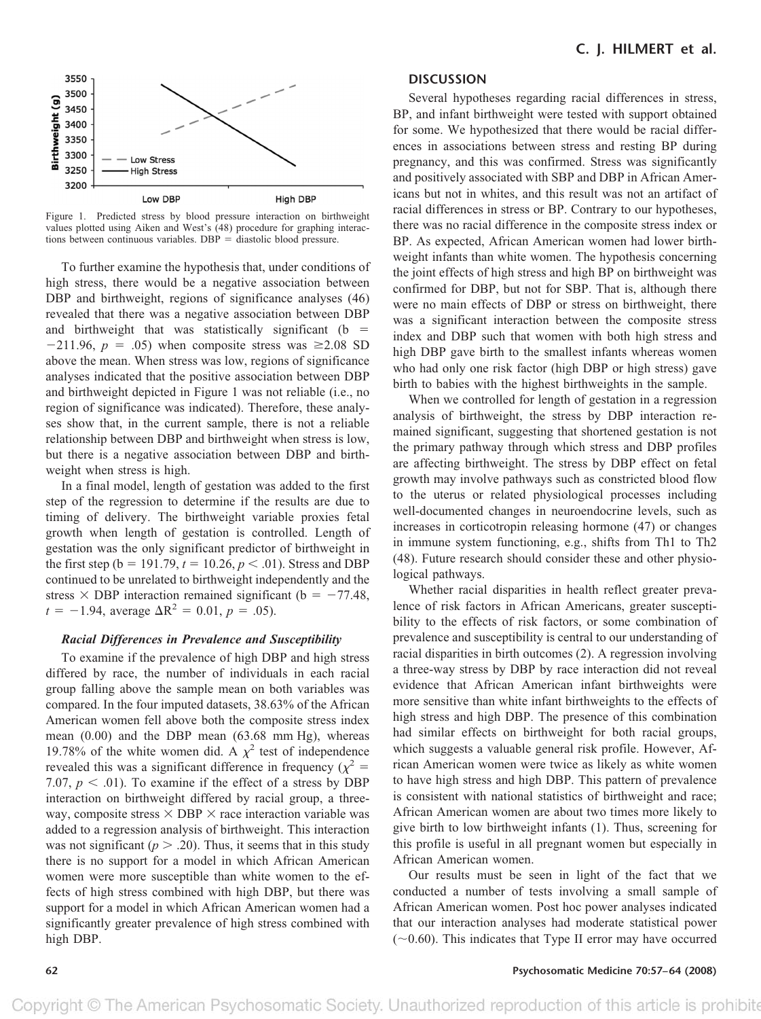

Figure 1. Predicted stress by blood pressure interaction on birthweight values plotted using Aiken and West's (48) procedure for graphing interactions between continuous variables.  $DBP =$  diastolic blood pressure.

To further examine the hypothesis that, under conditions of high stress, there would be a negative association between DBP and birthweight, regions of significance analyses (46) revealed that there was a negative association between DBP and birthweight that was statistically significant ( $b =$  $-211.96$ ,  $p = .05$ ) when composite stress was  $\geq 2.08$  SD above the mean. When stress was low, regions of significance analyses indicated that the positive association between DBP and birthweight depicted in Figure 1 was not reliable (i.e., no region of significance was indicated). Therefore, these analyses show that, in the current sample, there is not a reliable relationship between DBP and birthweight when stress is low, but there is a negative association between DBP and birthweight when stress is high.

In a final model, length of gestation was added to the first step of the regression to determine if the results are due to timing of delivery. The birthweight variable proxies fetal growth when length of gestation is controlled. Length of gestation was the only significant predictor of birthweight in the first step ( $b = 191.79$ ,  $t = 10.26$ ,  $p < .01$ ). Stress and DBP continued to be unrelated to birthweight independently and the stress  $\times$  DBP interaction remained significant (b = -77.48,  $t = -1.94$ , average  $\Delta R^2 = 0.01$ ,  $p = .05$ ).

## *Racial Differences in Prevalence and Susceptibility*

To examine if the prevalence of high DBP and high stress differed by race, the number of individuals in each racial group falling above the sample mean on both variables was compared. In the four imputed datasets, 38.63% of the African American women fell above both the composite stress index mean (0.00) and the DBP mean (63.68 mm Hg), whereas 19.78% of the white women did. A  $\chi^2$  test of independence revealed this was a significant difference in frequency ( $\chi^2$  = 7.07,  $p < .01$ ). To examine if the effect of a stress by DBP interaction on birthweight differed by racial group, a threeway, composite stress  $\times$  DBP  $\times$  race interaction variable was added to a regression analysis of birthweight. This interaction was not significant ( $p > .20$ ). Thus, it seems that in this study there is no support for a model in which African American women were more susceptible than white women to the effects of high stress combined with high DBP, but there was support for a model in which African American women had a significantly greater prevalence of high stress combined with high DBP.

## **DISCUSSION**

Several hypotheses regarding racial differences in stress, BP, and infant birthweight were tested with support obtained for some. We hypothesized that there would be racial differences in associations between stress and resting BP during pregnancy, and this was confirmed. Stress was significantly and positively associated with SBP and DBP in African Americans but not in whites, and this result was not an artifact of racial differences in stress or BP. Contrary to our hypotheses, there was no racial difference in the composite stress index or BP. As expected, African American women had lower birthweight infants than white women. The hypothesis concerning the joint effects of high stress and high BP on birthweight was confirmed for DBP, but not for SBP. That is, although there were no main effects of DBP or stress on birthweight, there was a significant interaction between the composite stress index and DBP such that women with both high stress and high DBP gave birth to the smallest infants whereas women who had only one risk factor (high DBP or high stress) gave birth to babies with the highest birthweights in the sample.

When we controlled for length of gestation in a regression analysis of birthweight, the stress by DBP interaction remained significant, suggesting that shortened gestation is not the primary pathway through which stress and DBP profiles are affecting birthweight. The stress by DBP effect on fetal growth may involve pathways such as constricted blood flow to the uterus or related physiological processes including well-documented changes in neuroendocrine levels, such as increases in corticotropin releasing hormone (47) or changes in immune system functioning, e.g., shifts from Th1 to Th2 (48). Future research should consider these and other physiological pathways.

Whether racial disparities in health reflect greater prevalence of risk factors in African Americans, greater susceptibility to the effects of risk factors, or some combination of prevalence and susceptibility is central to our understanding of racial disparities in birth outcomes (2). A regression involving a three-way stress by DBP by race interaction did not reveal evidence that African American infant birthweights were more sensitive than white infant birthweights to the effects of high stress and high DBP. The presence of this combination had similar effects on birthweight for both racial groups, which suggests a valuable general risk profile. However, African American women were twice as likely as white women to have high stress and high DBP. This pattern of prevalence is consistent with national statistics of birthweight and race; African American women are about two times more likely to give birth to low birthweight infants (1). Thus, screening for this profile is useful in all pregnant women but especially in African American women.

Our results must be seen in light of the fact that we conducted a number of tests involving a small sample of African American women. Post hoc power analyses indicated that our interaction analyses had moderate statistical power  $(\sim 0.60)$ . This indicates that Type II error may have occurred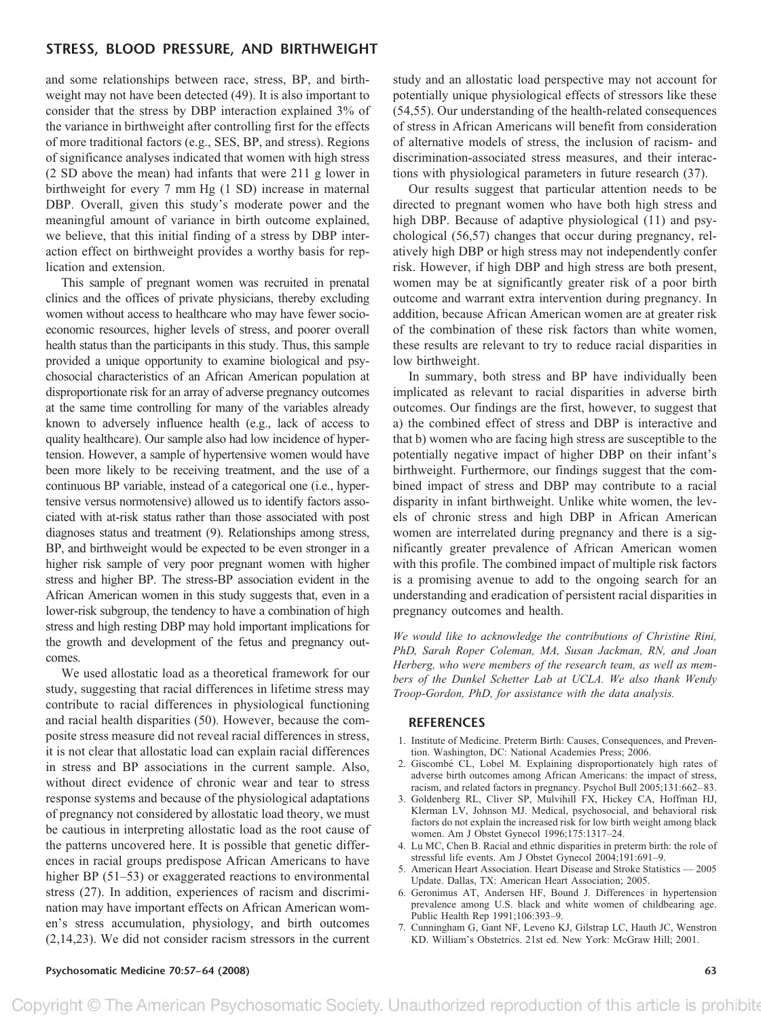# **STRESS, BLOOD PRESSURE, AND BIRTHWEIGHT**

and some relationships between race, stress, BP, and birthweight may not have been detected (49). It is also important to consider that the stress by DBP interaction explained 3% of the variance in birthweight after controlling first for the effects of more traditional factors (e.g., SES, BP, and stress). Regions of significance analyses indicated that women with high stress (2 SD above the mean) had infants that were 211 g lower in birthweight for every 7 mm Hg (1 SD) increase in maternal DBP. Overall, given this study's moderate power and the meaningful amount of variance in birth outcome explained, we believe, that this initial finding of a stress by DBP interaction effect on birthweight provides a worthy basis for replication and extension.

This sample of pregnant women was recruited in prenatal clinics and the offices of private physicians, thereby excluding women without access to healthcare who may have fewer socioeconomic resources, higher levels of stress, and poorer overall health status than the participants in this study. Thus, this sample provided a unique opportunity to examine biological and psychosocial characteristics of an African American population at disproportionate risk for an array of adverse pregnancy outcomes at the same time controlling for many of the variables already known to adversely influence health (e.g., lack of access to quality healthcare). Our sample also had low incidence of hypertension. However, a sample of hypertensive women would have been more likely to be receiving treatment, and the use of a continuous BP variable, instead of a categorical one (i.e., hypertensive versus normotensive) allowed us to identify factors associated with at-risk status rather than those associated with post diagnoses status and treatment (9). Relationships among stress, BP, and birthweight would be expected to be even stronger in a higher risk sample of very poor pregnant women with higher stress and higher BP. The stress-BP association evident in the African American women in this study suggests that, even in a lower-risk subgroup, the tendency to have a combination of high stress and high resting DBP may hold important implications for the growth and development of the fetus and pregnancy outcomes.

We used allostatic load as a theoretical framework for our study, suggesting that racial differences in lifetime stress may contribute to racial differences in physiological functioning and racial health disparities (50). However, because the composite stress measure did not reveal racial differences in stress, it is not clear that allostatic load can explain racial differences in stress and BP associations in the current sample. Also, without direct evidence of chronic wear and tear to stress response systems and because of the physiological adaptations of pregnancy not considered by allostatic load theory, we must be cautious in interpreting allostatic load as the root cause of the patterns uncovered here. It is possible that genetic differences in racial groups predispose African Americans to have higher BP (51–53) or exaggerated reactions to environmental stress (27). In addition, experiences of racism and discrimination may have important effects on African American women's stress accumulation, physiology, and birth outcomes (2,14,23). We did not consider racism stressors in the current

study and an allostatic load perspective may not account for potentially unique physiological effects of stressors like these (54,55). Our understanding of the health-related consequences of stress in African Americans will benefit from consideration of alternative models of stress, the inclusion of racism- and discrimination-associated stress measures, and their interactions with physiological parameters in future research (37).

Our results suggest that particular attention needs to be directed to pregnant women who have both high stress and high DBP. Because of adaptive physiological (11) and psychological (56,57) changes that occur during pregnancy, relatively high DBP or high stress may not independently confer risk. However, if high DBP and high stress are both present, women may be at significantly greater risk of a poor birth outcome and warrant extra intervention during pregnancy. In addition, because African American women are at greater risk of the combination of these risk factors than white women, these results are relevant to try to reduce racial disparities in low birthweight.

In summary, both stress and BP have individually been implicated as relevant to racial disparities in adverse birth outcomes. Our findings are the first, however, to suggest that a) the combined effect of stress and DBP is interactive and that b) women who are facing high stress are susceptible to the potentially negative impact of higher DBP on their infant's birthweight. Furthermore, our findings suggest that the combined impact of stress and DBP may contribute to a racial disparity in infant birthweight. Unlike white women, the levels of chronic stress and high DBP in African American women are interrelated during pregnancy and there is a significantly greater prevalence of African American women with this profile. The combined impact of multiple risk factors is a promising avenue to add to the ongoing search for an understanding and eradication of persistent racial disparities in pregnancy outcomes and health.

*We would like to acknowledge the contributions of Christine Rini, PhD, Sarah Roper Coleman, MA, Susan Jackman, RN, and Joan Herberg, who were members of the research team, as well as members of the Dunkel Schetter Lab at UCLA. We also thank Wendy Troop-Gordon, PhD, for assistance with the data analysis.*

#### **REFERENCES**

- 1. Institute of Medicine. Preterm Birth: Causes, Consequences, and Prevention. Washington, DC: National Academies Press; 2006.
- 2. Giscombé CL, Lobel M. Explaining disproportionately high rates of adverse birth outcomes among African Americans: the impact of stress, racism, and related factors in pregnancy. Psychol Bull 2005;131:662– 83.
- 3. Goldenberg RL, Cliver SP, Mulvihill FX, Hickey CA, Hoffman HJ, Klerman LV, Johnson MJ. Medical, psychosocial, and behavioral risk factors do not explain the increased risk for low birth weight among black women. Am J Obstet Gynecol 1996;175:1317–24.
- 4. Lu MC, Chen B. Racial and ethnic disparities in preterm birth: the role of stressful life events. Am J Obstet Gynecol 2004;191:691–9.
- 5. American Heart Association. Heart Disease and Stroke Statistics 2005 Update. Dallas, TX: American Heart Association; 2005.
- 6. Geronimus AT, Andersen HF, Bound J. Differences in hypertension prevalence among U.S. black and white women of childbearing age. Public Health Rep 1991;106:393–9.
- 7. Cunningham G, Gant NF, Leveno KJ, Gilstrap LC, Hauth JC, Wenstron KD. William's Obstetrics. 21st ed. New York: McGraw Hill; 2001.